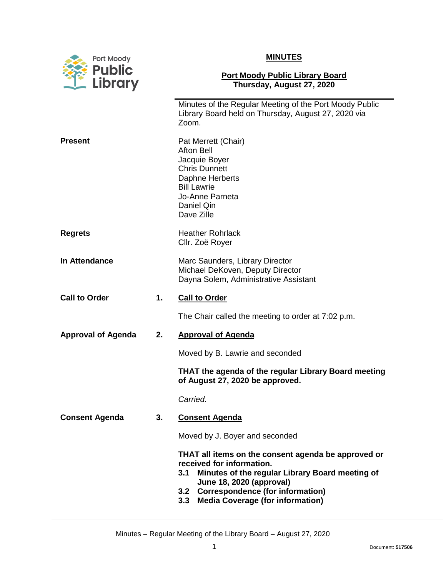

| Port Moody<br><b>Public</b> |    | <b>MINUTES</b>                                                                                                                                                                                                                                                             |  |
|-----------------------------|----|----------------------------------------------------------------------------------------------------------------------------------------------------------------------------------------------------------------------------------------------------------------------------|--|
| Library                     |    | <b>Port Moody Public Library Board</b><br>Thursday, August 27, 2020                                                                                                                                                                                                        |  |
|                             |    | Minutes of the Regular Meeting of the Port Moody Public<br>Library Board held on Thursday, August 27, 2020 via<br>Zoom.                                                                                                                                                    |  |
| <b>Present</b>              |    | Pat Merrett (Chair)<br><b>Afton Bell</b><br>Jacquie Boyer<br><b>Chris Dunnett</b><br>Daphne Herberts<br><b>Bill Lawrie</b><br>Jo-Anne Parneta<br>Daniel Qin<br>Dave Zille                                                                                                  |  |
| <b>Regrets</b>              |    | <b>Heather Rohrlack</b><br>Cllr. Zoë Royer                                                                                                                                                                                                                                 |  |
| <b>In Attendance</b>        |    | Marc Saunders, Library Director<br>Michael DeKoven, Deputy Director<br>Dayna Solem, Administrative Assistant                                                                                                                                                               |  |
| <b>Call to Order</b>        | 1. | <b>Call to Order</b>                                                                                                                                                                                                                                                       |  |
|                             |    | The Chair called the meeting to order at 7:02 p.m.                                                                                                                                                                                                                         |  |
| <b>Approval of Agenda</b>   | 2. | <b>Approval of Agenda</b>                                                                                                                                                                                                                                                  |  |
|                             |    | Moved by B. Lawrie and seconded                                                                                                                                                                                                                                            |  |
|                             |    | THAT the agenda of the regular Library Board meeting<br>of August 27, 2020 be approved.                                                                                                                                                                                    |  |
|                             |    | Carried.                                                                                                                                                                                                                                                                   |  |
| <b>Consent Agenda</b>       | 3. | <b>Consent Agenda</b>                                                                                                                                                                                                                                                      |  |
|                             |    | Moved by J. Boyer and seconded                                                                                                                                                                                                                                             |  |
|                             |    | THAT all items on the consent agenda be approved or<br>received for information.<br>Minutes of the regular Library Board meeting of<br>3.1<br>June 18, 2020 (approval)<br><b>Correspondence (for information)</b><br>3.2<br><b>Media Coverage (for information)</b><br>3.3 |  |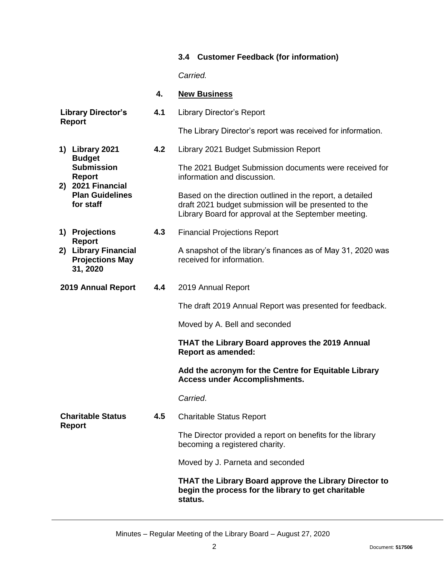## **3.4 Customer Feedback (for information)**

*Carried.*

## **4. New Business**

| <b>Library Director's</b><br><b>Report</b>                                                  |                                                                                              | 4.1                                                                                   | <b>Library Director's Report</b>                                                                                                                                           |
|---------------------------------------------------------------------------------------------|----------------------------------------------------------------------------------------------|---------------------------------------------------------------------------------------|----------------------------------------------------------------------------------------------------------------------------------------------------------------------------|
|                                                                                             |                                                                                              |                                                                                       | The Library Director's report was received for information.                                                                                                                |
| 1) Library 2021<br><b>Budget</b><br><b>Submission</b><br><b>Report</b><br>2) 2021 Financial |                                                                                              | 4.2                                                                                   | Library 2021 Budget Submission Report                                                                                                                                      |
|                                                                                             |                                                                                              | The 2021 Budget Submission documents were received for<br>information and discussion. |                                                                                                                                                                            |
|                                                                                             | <b>Plan Guidelines</b><br>for staff                                                          |                                                                                       | Based on the direction outlined in the report, a detailed<br>draft 2021 budget submission will be presented to the<br>Library Board for approval at the September meeting. |
|                                                                                             | 1) Projections<br><b>Report</b>                                                              | 4.3                                                                                   | <b>Financial Projections Report</b>                                                                                                                                        |
|                                                                                             | 2) Library Financial<br><b>Projections May</b><br>31, 2020                                   |                                                                                       | A snapshot of the library's finances as of May 31, 2020 was<br>received for information.                                                                                   |
| 2019 Annual Report                                                                          |                                                                                              | 4.4                                                                                   | 2019 Annual Report                                                                                                                                                         |
|                                                                                             |                                                                                              |                                                                                       | The draft 2019 Annual Report was presented for feedback.                                                                                                                   |
|                                                                                             |                                                                                              |                                                                                       | Moved by A. Bell and seconded                                                                                                                                              |
|                                                                                             |                                                                                              |                                                                                       | THAT the Library Board approves the 2019 Annual<br><b>Report as amended:</b>                                                                                               |
|                                                                                             |                                                                                              |                                                                                       | Add the acronym for the Centre for Equitable Library<br><b>Access under Accomplishments.</b>                                                                               |
|                                                                                             |                                                                                              |                                                                                       | Carried.                                                                                                                                                                   |
| <b>Charitable Status</b>                                                                    |                                                                                              | 4.5                                                                                   | <b>Charitable Status Report</b>                                                                                                                                            |
| <b>Report</b>                                                                               | The Director provided a report on benefits for the library<br>becoming a registered charity. |                                                                                       |                                                                                                                                                                            |
|                                                                                             |                                                                                              |                                                                                       | Moved by J. Parneta and seconded                                                                                                                                           |
|                                                                                             |                                                                                              |                                                                                       | THAT the Library Board approve the Library Director to<br>begin the process for the library to get charitable<br>status.                                                   |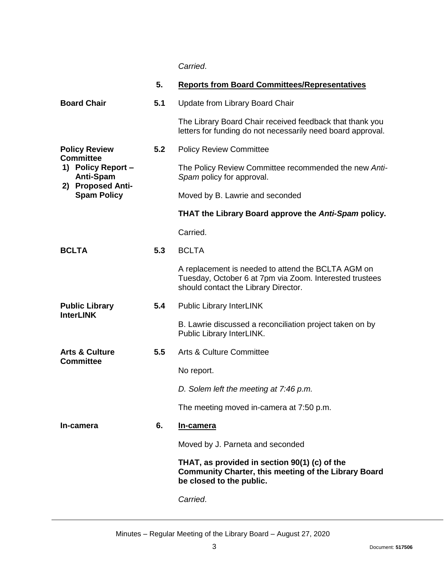*Carried*.

|                                                            | 5.  | <b>Reports from Board Committees/Representatives</b>                                                                                                  |
|------------------------------------------------------------|-----|-------------------------------------------------------------------------------------------------------------------------------------------------------|
| <b>Board Chair</b>                                         | 5.1 | Update from Library Board Chair                                                                                                                       |
|                                                            |     | The Library Board Chair received feedback that thank you<br>letters for funding do not necessarily need board approval.                               |
| <b>Policy Review</b>                                       | 5.2 | <b>Policy Review Committee</b>                                                                                                                        |
| <b>Committee</b><br>1) Policy Report -<br><b>Anti-Spam</b> |     | The Policy Review Committee recommended the new Anti-<br>Spam policy for approval.                                                                    |
| 2) Proposed Anti-<br><b>Spam Policy</b>                    |     | Moved by B. Lawrie and seconded                                                                                                                       |
|                                                            |     | THAT the Library Board approve the Anti-Spam policy.                                                                                                  |
|                                                            |     | Carried.                                                                                                                                              |
| <b>BCLTA</b>                                               | 5.3 | <b>BCLTA</b>                                                                                                                                          |
|                                                            |     | A replacement is needed to attend the BCLTA AGM on<br>Tuesday, October 6 at 7pm via Zoom. Interested trustees<br>should contact the Library Director. |
| <b>Public Library</b>                                      | 5.4 | <b>Public Library InterLINK</b>                                                                                                                       |
| <b>InterLINK</b>                                           |     | B. Lawrie discussed a reconciliation project taken on by<br>Public Library InterLINK.                                                                 |
| <b>Arts &amp; Culture</b>                                  | 5.5 | <b>Arts &amp; Culture Committee</b>                                                                                                                   |
| <b>Committee</b>                                           |     | No report.                                                                                                                                            |
|                                                            |     | D. Solem left the meeting at 7:46 p.m.                                                                                                                |
|                                                            |     | The meeting moved in-camera at 7:50 p.m.                                                                                                              |
| In-camera                                                  | 6.  | In-camera                                                                                                                                             |
|                                                            |     | Moved by J. Parneta and seconded                                                                                                                      |
|                                                            |     | THAT, as provided in section 90(1) (c) of the<br>Community Charter, this meeting of the Library Board<br>be closed to the public.                     |
|                                                            |     | Carried.                                                                                                                                              |